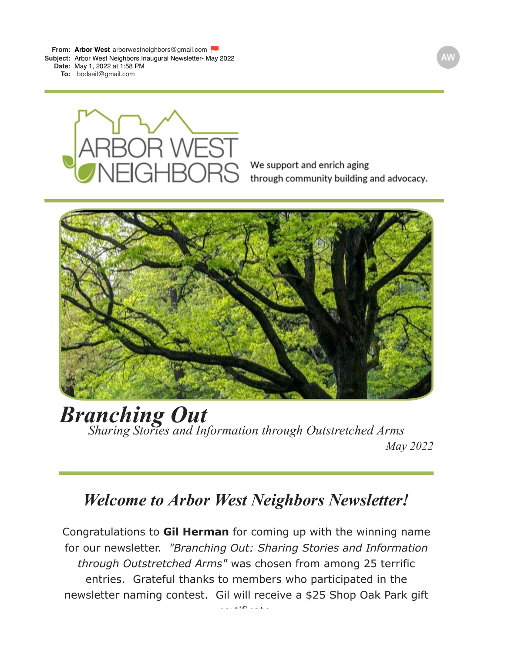**From: Arbor [West](mailto:Westarborwestneighbors@gmail.com)** [arborwestneighbors@gmail.com](mailto:Westarborwestneighbors@gmail.com) **Subject:** Arbor West Neighbors Inaugural Newsletter- May 2022

**Date:** May 1, 2022 at 1:58 PM

**To:** [bodsail@gmail.com](mailto:bodsail@gmail.com)



We support and enrich aging through community building and advocacy.



# *Branching Out Sharing Stories and Information through Outstretched Arms May 2022*

### *Welcome to Arbor West Neighbors Newsletter!*

Congratulations to **Gil Herman** for coming up with the winning name for our newsletter. *"Branching Out: Sharing Stories and Information through Outstretched Arms"* was chosen from among 25 terrific entries. Grateful thanks to members who participated in the newsletter naming contest. Gil will receive a \$25 Shop Oak Park gift

certificate.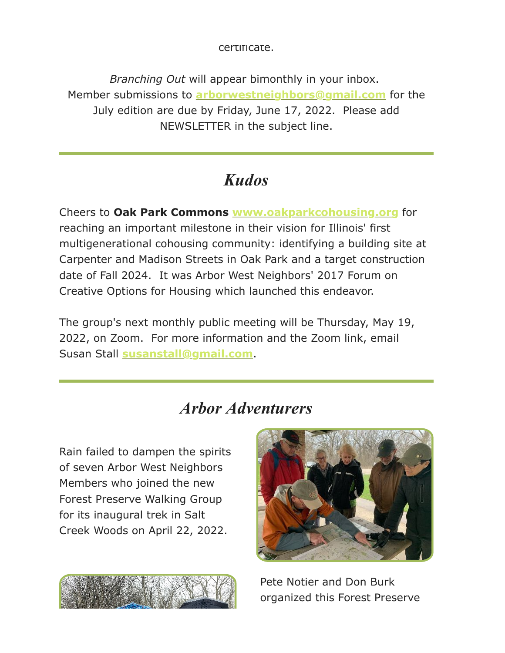certificate.

*Branching Out* will appear bimonthly in your inbox. Member submissions to **[arborwestneighbors@gmail.com](mailto:arborwestneighbors@gmail.com)** for the July edition are due by Friday, June 17, 2022. Please add NEWSLETTER in the subject line.

### *Kudos*

Cheers to **Oak Park Commons [www.oakparkcohousing.org](https://gmail.us20.list-manage.com/track/click?u=e429c81bd95908e4a80465fe3&id=d9d37d9316&e=dc5f4f3578)** for reaching an important milestone in their vision for Illinois' first multigenerational cohousing community: identifying a building site at Carpenter and Madison Streets in Oak Park and a target construction date of Fall 2024. It was Arbor West Neighbors' 2017 Forum on Creative Options for Housing which launched this endeavor.

The group's next monthly public meeting will be Thursday, May 19, 2022, on Zoom. For more information and the Zoom link, email Susan Stall **[susanstall@gmail.com](mailto:susanstall@gmail.com)**.

### *Arbor Adventurers*

Rain failed to dampen the spirits of seven Arbor West Neighbors Members who joined the new Forest Preserve Walking Group for its inaugural trek in Salt Creek Woods on April 22, 2022.





Pete Notier and Don Burk organized this Forest Preserve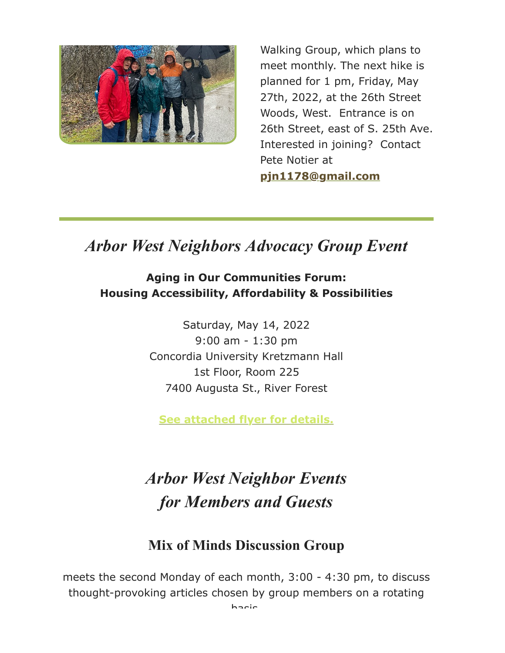

Walking Group, which plans to meet monthly. The next hike is planned for 1 pm, Friday, May 27th, 2022, at the 26th Street Woods, West. Entrance is on 26th Street, east of S. 25th Ave. Interested in joining? Contact Pete Notier at **[pjn1178@gmail.com](mailto:pjn1178@gmail.com)**

## *Arbor West Neighbors Advocacy Group Event*

#### **Aging in Our Communities Forum: Housing Accessibility, Affordability & Possibilities**

Saturday, May 14, 2022 9:00 am - 1:30 pm Concordia University Kretzmann Hall 1st Floor, Room 225 7400 Augusta St., River Forest

**[See attached flyer for details.](https://gmail.us20.list-manage.com/track/click?u=e429c81bd95908e4a80465fe3&id=a19d217e51&e=dc5f4f3578)**

## *Arbor West Neighbor Events for Members and Guests*

### **Mix of Minds Discussion Group**

meets the second Monday of each month, 3:00 - 4:30 pm, to discuss thought-provoking articles chosen by group members on a rotating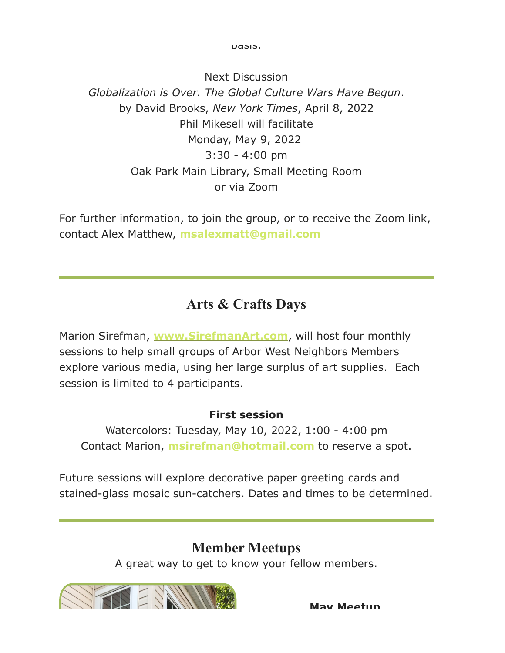basis.

Next Discussion *Globalization is Over. The Global Culture Wars Have Begun*. by David Brooks, *New York Times*, April 8, 2022 Phil Mikesell will facilitate Monday, May 9, 2022 3:30 - 4:00 pm Oak Park Main Library, Small Meeting Room or via Zoom

For further information, to join the group, or to receive the Zoom link, contact Alex Matthew, **[msalexmatt@gmail.com](mailto:msalexmatt@gmail.com)**

### **Arts & Crafts Days**

Marion Sirefman, **[www.SirefmanArt.com](https://gmail.us20.list-manage.com/track/click?u=e429c81bd95908e4a80465fe3&id=f438850bed&e=dc5f4f3578)**, will host four monthly sessions to help small groups of Arbor West Neighbors Members explore various media, using her large surplus of art supplies. Each session is limited to 4 participants.

#### **First session**

Watercolors: Tuesday, May 10, 2022, 1:00 - 4:00 pm Contact Marion, **[msirefman@hotmail.com](mailto:msirefman@hotmail.com)** to reserve a spot.

Future sessions will explore decorative paper greeting cards and stained-glass mosaic sun-catchers. Dates and times to be determined.

### **Member Meetups**

A great way to get to know your fellow members.



**May Meetup**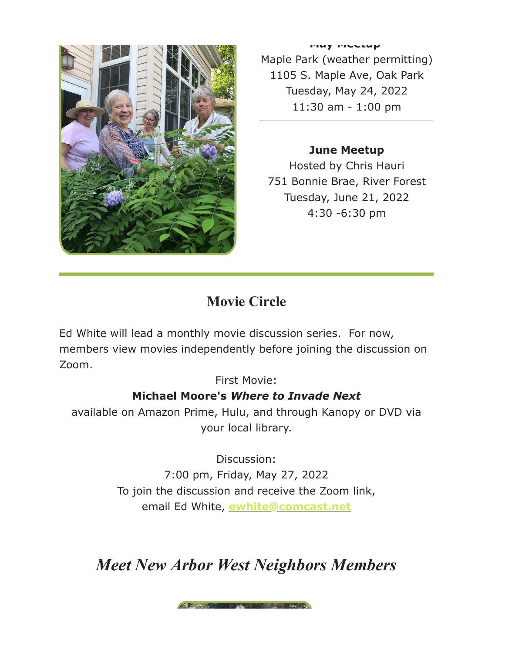

**May Meetup**  Maple Park (weather permitting) 1105 S. Maple Ave, Oak Park Tuesday, May 24, 2022 11:30 am - 1:00 pm

#### **June Meetup** Hosted by Chris Hauri 751 Bonnie Brae, River Forest Tuesday, June 21, 2022 4:30 -6:30 pm

### **Movie Circle**

Ed White will lead a monthly movie discussion series. For now, members view movies independently before joining the discussion on Zoom.

First Movie:

#### **Michael Moore's** *Where to Invade Next*

available on Amazon Prime, Hulu, and through Kanopy or DVD via your local library.

> Discussion: 7:00 pm, Friday, May 27, 2022 To join the discussion and receive the Zoom link, email Ed White, **[ewhite@comcast.net](mailto:ewhite@comcast.net)**

*Meet New Arbor West Neighbors Members*

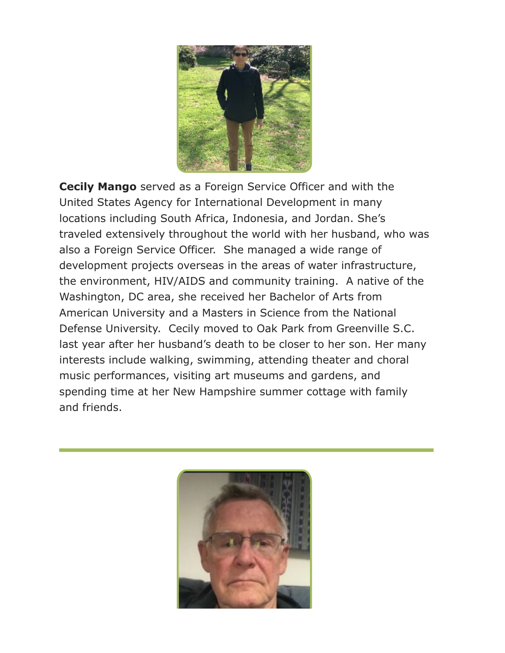

**Cecily Mango** served as a Foreign Service Officer and with the United States Agency for International Development in many locations including South Africa, Indonesia, and Jordan. She's traveled extensively throughout the world with her husband, who was also a Foreign Service Officer. She managed a wide range of development projects overseas in the areas of water infrastructure, the environment, HIV/AIDS and community training. A native of the Washington, DC area, she received her Bachelor of Arts from American University and a Masters in Science from the National Defense University. Cecily moved to Oak Park from Greenville S.C. last year after her husband's death to be closer to her son. Her many interests include walking, swimming, attending theater and choral music performances, visiting art museums and gardens, and spending time at her New Hampshire summer cottage with family and friends.

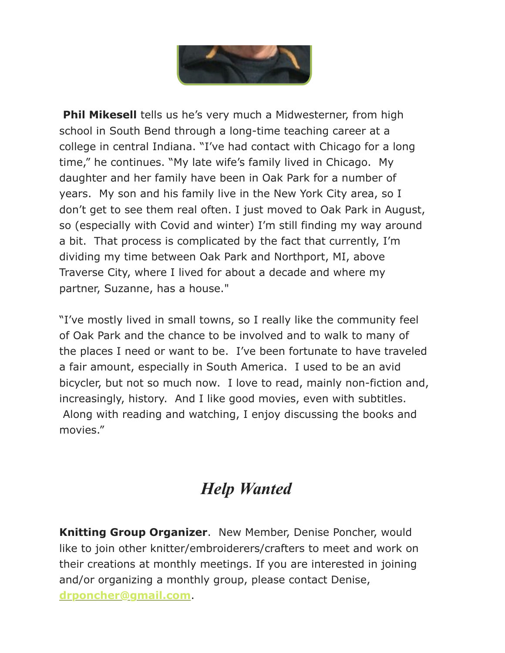

**Phil Mikesell** tells us he's very much a Midwesterner, from high school in South Bend through a long-time teaching career at a college in central Indiana. "I've had contact with Chicago for a long time," he continues. "My late wife's family lived in Chicago. My daughter and her family have been in Oak Park for a number of years. My son and his family live in the New York City area, so I don't get to see them real often. I just moved to Oak Park in August, so (especially with Covid and winter) I'm still finding my way around a bit. That process is complicated by the fact that currently, I'm dividing my time between Oak Park and Northport, MI, above Traverse City, where I lived for about a decade and where my partner, Suzanne, has a house."

"I've mostly lived in small towns, so I really like the community feel of Oak Park and the chance to be involved and to walk to many of the places I need or want to be. I've been fortunate to have traveled a fair amount, especially in South America. I used to be an avid bicycler, but not so much now. I love to read, mainly non-fiction and, increasingly, history. And I like good movies, even with subtitles. Along with reading and watching, I enjoy discussing the books and movies."

## *Help Wanted*

**Knitting Group Organizer**. New Member, Denise Poncher, would like to join other knitter/embroiderers/crafters to meet and work on their creations at monthly meetings. If you are interested in joining and/or organizing a monthly group, please contact Denise, **[drponcher@gmail.com](mailto:drponcher@gmail.com)**.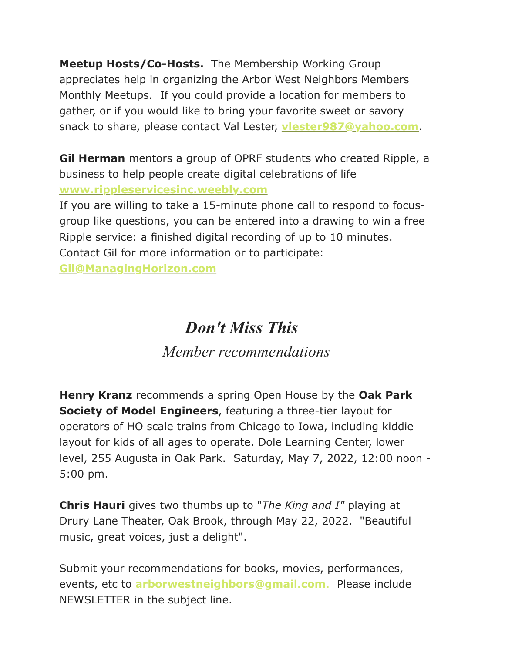**Meetup Hosts/Co-Hosts.** The Membership Working Group appreciates help in organizing the Arbor West Neighbors Members Monthly Meetups. If you could provide a location for members to gather, or if you would like to bring your favorite sweet or savory snack to share, please contact Val Lester, **[vlester987@yahoo.com](mailto:vlester987@yahoo.com)**.

**Gil Herman** mentors a group of OPRF students who created Ripple, a business to help people create digital celebrations of life **[www.rippleservicesinc.weebly.com](https://gmail.us20.list-manage.com/track/click?u=e429c81bd95908e4a80465fe3&id=06b3252661&e=dc5f4f3578)**

If you are willing to take a 15-minute phone call to respond to focusgroup like questions, you can be entered into a drawing to win a free Ripple service: a finished digital recording of up to 10 minutes. Contact Gil for more information or to participate:

**[Gil@ManagingHorizon.com](mailto:Gil@ManagingHorizons.com)**

### *Don't Miss This*

#### *Member recommendations*

**Henry Kranz** recommends a spring Open House by the **Oak Park Society of Model Engineers**, featuring a three-tier layout for operators of HO scale trains from Chicago to Iowa, including kiddie layout for kids of all ages to operate. Dole Learning Center, lower level, 255 Augusta in Oak Park. Saturday, May 7, 2022, 12:00 noon - 5:00 pm.

**Chris Hauri** gives two thumbs up to "*The King and I"* playing at Drury Lane Theater, Oak Brook, through May 22, 2022. "Beautiful music, great voices, just a delight".

Submit your recommendations for books, movies, performances, events, etc to **[arborwestneighbors@gmail.com.](mailto:arborwestneighbors@gmail.com.)** Please include NEWSLETTER in the subject line.